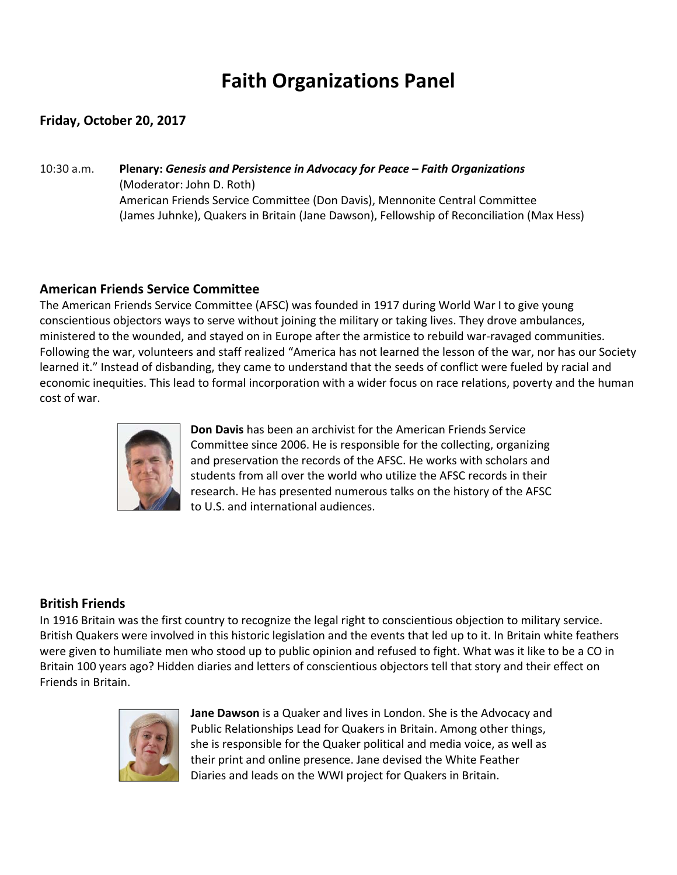# **Faith Organizations Panel**

### **Friday, October 20, 2017**

10:30 a.m. **Plenary:** *Genesis and Persistence in Advocacy for Peace – Faith Organizations*  (Moderator: John D. Roth) American Friends Service Committee (Don Davis), Mennonite Central Committee (James Juhnke), Quakers in Britain (Jane Dawson), Fellowship of Reconciliation (Max Hess)

#### **American Friends Service Committee**

The American Friends Service Committee (AFSC) was founded in 1917 during World War I to give young conscientious objectors ways to serve without joining the military or taking lives. They drove ambulances, ministered to the wounded, and stayed on in Europe after the armistice to rebuild war‐ravaged communities. Following the war, volunteers and staff realized "America has not learned the lesson of the war, nor has our Society learned it." Instead of disbanding, they came to understand that the seeds of conflict were fueled by racial and economic inequities. This lead to formal incorporation with a wider focus on race relations, poverty and the human cost of war.



**Don Davis** has been an archivist for the American Friends Service Committee since 2006. He is responsible for the collecting, organizing and preservation the records of the AFSC. He works with scholars and students from all over the world who utilize the AFSC records in their research. He has presented numerous talks on the history of the AFSC to U.S. and international audiences.

#### **British Friends**

In 1916 Britain was the first country to recognize the legal right to conscientious objection to military service. British Quakers were involved in this historic legislation and the events that led up to it. In Britain white feathers were given to humiliate men who stood up to public opinion and refused to fight. What was it like to be a CO in Britain 100 years ago? Hidden diaries and letters of conscientious objectors tell that story and their effect on Friends in Britain.



**Jane Dawson** is a Quaker and lives in London. She is the Advocacy and Public Relationships Lead for Quakers in Britain. Among other things, she is responsible for the Quaker political and media voice, as well as their print and online presence. Jane devised the White Feather Diaries and leads on the WWI project for Quakers in Britain.